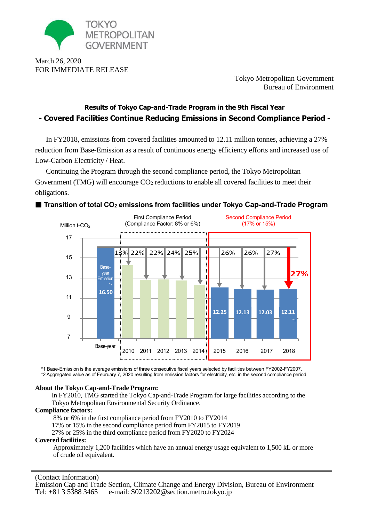

March 26, 2020 FOR IMMEDIATE RELEASE

Tokyo Metropolitan Government Bureau of Environment

2015 2016 2017 2018

# **Results of Tokyo Cap-and-Trade Program in the 9th Fiscal Year - Covered Facilities Continue Reducing Emissions in Second Compliance Period -**

In FY2018, emissions from covered facilities amounted to 12.11 million tonnes, achieving a 27% reduction from Base-Emission as a result of continuous energy efficiency efforts and increased use of Low-Carbon Electricity / Heat.

Continuing the Program through the second compliance period, the Tokyo Metropolitan Government (TMG) will encourage  $CO<sub>2</sub>$  reductions to enable all covered facilities to meet their obligations.



## **Transition of total CO<sup>2</sup> emissions from facilities under Tokyo Cap-and-Trade Program**

\*1 Base-Emission is the average emissions of three consecutive fiscal years selected by facilities between FY2002-FY2007. \*2 Aggregated value as of February 7, 2020 resulting from emission factors for electricity, etc. in the second compliance period

2010 2011 2012 2013 2014

## **About the Tokyo Cap-and-Trade Program:**

Base-year

In FY2010, TMG started the Tokyo Cap-and-Trade Program for large facilities according to the Tokyo Metropolitan Environmental Security Ordinance.

#### **Compliance factors:**

8% or 6% in the first compliance period from FY2010 to FY2014

17% or 15% in the second compliance period from FY2015 to FY2019

27% or 25% in the third compliance period from FY2020 to FY2024

#### **Covered facilities:**

Approximately 1,200 facilities which have an annual energy usage equivalent to 1,500 kL or more of crude oil equivalent.

(Contact Information) Emission Cap and Trade Section, Climate Change and Energy Division, Bureau of Environment Tel: +81 3 5388 3465 e-mail: [S0213202@section.metro.tokyo.jp](mailto:S0213202@section.metro.tokyo.jp)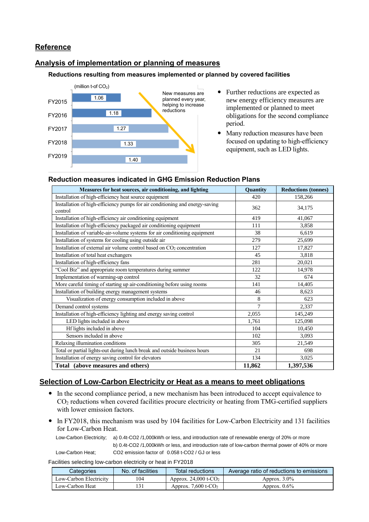# **Reference**

# **Analysis of implementation or planning of measures**

#### **Reductions resulting from measures implemented or planned by covered facilities**



- Further reductions are expected as new energy efficiency measures are implemented or planned to meet obligations for the second compliance period.
- Many reduction measures have been focused on updating to high-efficiency equipment, such as LED lights.

### **Measures for heat sources, air conditioning, and lighting <b>Quantify Quantity Reductions (tonnes)** Installation of high-efficiency heat source equipment 420 158,266 Installation of high-efficiency pumps for air conditioning and energy-saving  $362$  34,175 Installation of high-efficiency air conditioning equipment 419 41,067 Installation of high-efficiency packaged air conditioning equipment 111 11 3,858 Installation of variable-air-volume systems for air conditioning equipment 38 6,619 Installation of systems for cooling using outside air 279 25,699 Installation of external air volume control based on CO<sub>2</sub> concentration 127 17,827 Installation of total heat exchangers and the state of the state of total heat exchangers and the state of the state of the state of the state of the state of the state of the state of the state of the state of the state o Installation of high-efficiency fans 281 20,021 "Cool Biz" and appropriate room temperatures during summer 122 14,978 Implementation of warming-up control 32 674 More careful timing of starting up air-conditioning before using rooms 141 14,405 Installation of building energy management systems 46 8,623 Visualization of energy consumption included in above 8 8 8 623 Demand control systems 2,337 Installation of high-efficiency lighting and energy saving control 2,055 145,249 LED lights included in above  $1,761$  125,098 Hf lights included in above  $104 \t 10,450$ Sensors included in above 102 3,093 Relaxing illumination conditions 305 21.549 Total or partial lights-out during lunch break and outside business hours 21 698 Installation of energy saving control for elevators 134 3,025 **Total (above measures and others) 11,862 1,397,536**

#### **Reduction measures indicated in GHG Emission Reduction Plans**

# **Selection of Low-Carbon Electricity or Heat as a means to meet obligations**

- In the second compliance period, a new mechanism has been introduced to accept equivalence to CO<sup>2</sup> reductions when covered facilities procure electricity or heating from TMG-certified suppliers with lower emission factors.
- In FY2018, this mechanism was used by 104 facilities for Low-Carbon Electricity and 131 facilities for Low-Carbon Heat.

 Low-Carbon Electricity; a) 0.4t-CO2 /1,000kWh or less, and introduction rate of renewable energy of 20% or more b) 0.4t-CO2 /1,000kWh or less, and introduction rate of low-carbon thermal power of 40% or more Low-Carbon Heat; CO2 emission factor of 0.058 t-CO2 / GJ or less

Facilities selecting low-carbon electricity or heat in FY2018

| Categories             | No. of facilities | Total reductions                   | Average ratio of reductions to emissions |
|------------------------|-------------------|------------------------------------|------------------------------------------|
| Low-Carbon Electricity | l 04              | Approx. $24,000$ t-CO <sub>2</sub> | Approx. $3.0\%$                          |
| Low-Carbon Heat        |                   | Approx. 7,600 t- $CO2$             | Approx. $0.6\%$                          |